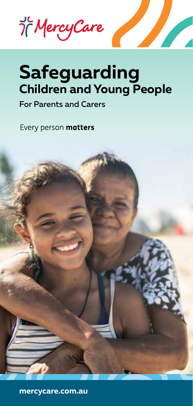Jc Mercy Care

# **Safeguarding Children and Young People**

For Parents and Carers

Every person matters



**mercycare.com.au**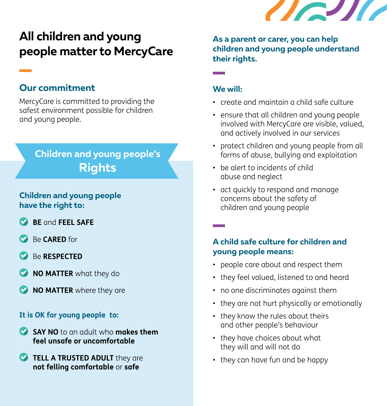

# **All children and young people matter to MercyCare**

### **Our commitment**

MercyCare is committed to providing the safest environment possible for children and young people.

# **Children and young people's Rights**

### **Children and young people have the right to:**

- **BE** and **FEEL SAFE**
- Be **CARED** for
- Be **RESPECTED**
- **NO MATTER** what they do
- **NO MATTER** where they are

#### **It is OK for young people to:**

- **SAY NO** to an adult who **makes them feel unsafe or uncomfortable**
- **TELL A TRUSTED ADULT** they are **not felling comfortable** or **safe**

**As a parent or carer, you can help children and young people understand their rights.**

#### **We will:**

- create and maintain a child safe culture
- ensure that all children and young people involved with MercyCare are visible, valued, and actively involved in our services
- protect children and young people from all forms of abuse, bullying and exploitation
- be alert to incidents of child abuse and neglect
- act quickly to respond and manage concerns about the safety of children and young people

### **A child safe culture for children and young people means:**

- people care about and respect them
- they feel valued, listened to and heard
- no one discriminates against them
- they are not hurt physically or emotionally
- they know the rules about theirs and other people's behaviour
- they have choices about what they will and will not do
- they can have fun and be happy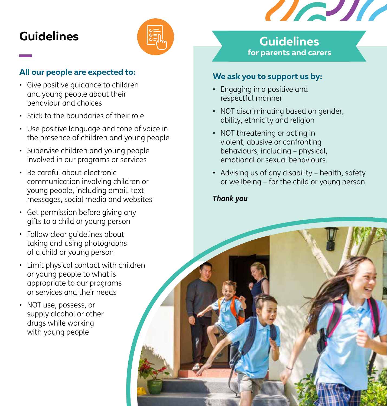

# **Guidelines**



### **All our people are expected to:**

- Give positive guidance to children and young people about their behaviour and choices
- Stick to the boundaries of their role
- Use positive language and tone of voice in the presence of children and young people
- Supervise children and young people involved in our programs or services
- Be careful about electronic communication involving children or young people, including email, text messages, social media and websites
- Get permission before giving any gifts to a child or young person
- Follow clear guidelines about taking and using photographs of a child or young person
- Limit physical contact with children or young people to what is appropriate to our programs or services and their needs
- NOT use, possess, or supply alcohol or other drugs while working with young people

**Guidelines for parents and carers**

### **We ask you to support us by:**

- Engaging in a positive and respectful manner
- NOT discriminating based on gender, ability, ethnicity and religion
- NOT threatening or acting in violent, abusive or confronting behaviours, including – physical, emotional or sexual behaviours.
- Advising us of any disability health, safety or wellbeing – for the child or young person

#### *Thank you*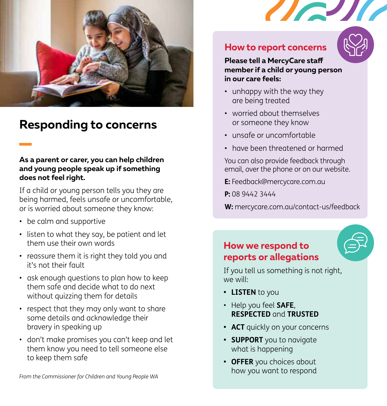

# **Responding to concerns**

#### **As a parent or carer, you can help children and young people speak up if something does not feel right.**

If a child or young person tells you they are being harmed, feels unsafe or uncomfortable, or is worried about someone they know:

- be calm and supportive
- listen to what they say, be patient and let them use their own words
- reassure them it is right they told you and it's not their fault
- ask enough questions to plan how to keep them safe and decide what to do next without quizzing them for details
- respect that they may only want to share some details and acknowledge their bravery in speaking up
- don't make promises you can't keep and let them know you need to tell someone else to keep them safe



**Please tell a MercyCare staff member if a child or young person in our care feels:**

 $\sqrt{2}$ 

- unhappy with the way they are being treated
- worried about themselves or someone they know
- unsafe or uncomfortable
- have been threatened or harmed

You can also provide feedback through email, over the phone or on our website.

**E:** Feedback@mercycare.com.au

**P:** 08 9442 3444

**W:** mercycare.com.au/contact-us/feedback

## **How we respond to reports or allegations**

If you tell us something is not right, we will:

- **• LISTEN** to you
- Help you feel **SAFE**, **RESPECTED** and **TRUSTED**
- **• ACT** quickly on your concerns
- **• SUPPORT** you to navigate what is happening
- **• OFFER** you choices about how you want to respond